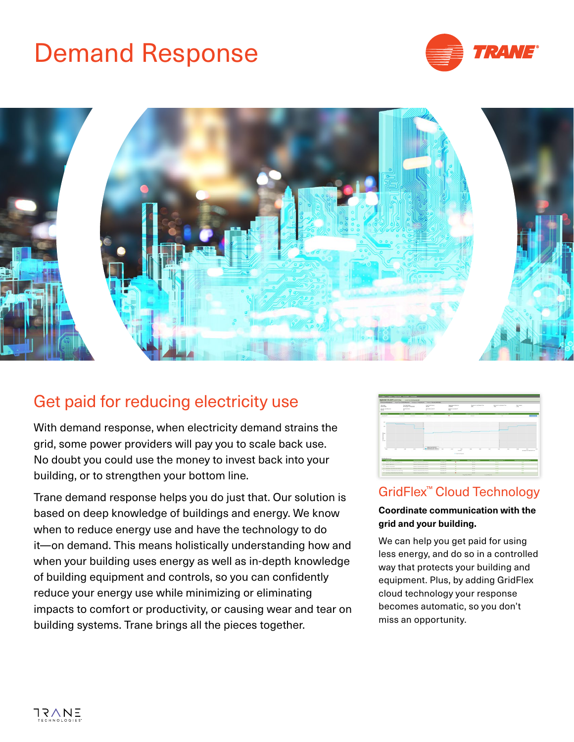# Demand Response





# Get paid for reducing electricity use

With demand response, when electricity demand strains the grid, some power providers will pay you to scale back use. No doubt you could use the money to invest back into your building, or to strengthen your bottom line.

Trane demand response helps you do just that. Our solution is based on deep knowledge of buildings and energy. We know when to reduce energy use and have the technology to do it—on demand. This means holistically understanding how and when your building uses energy as well as in-depth knowledge of building equipment and controls, so you can confidently reduce your energy use while minimizing or eliminating impacts to comfort or productivity, or causing wear and tear on building systems. Trane brings all the pieces together.

|                                        | If control's Propose a Proposition is fourteenth a functionals |                                                  |                                                                                                 |                                                        |                    |                                        |                               |                       |                                     |        |                                      |                                       |
|----------------------------------------|----------------------------------------------------------------|--------------------------------------------------|-------------------------------------------------------------------------------------------------|--------------------------------------------------------|--------------------|----------------------------------------|-------------------------------|-----------------------|-------------------------------------|--------|--------------------------------------|---------------------------------------|
| September 30, 2019 to providing        |                                                                | <b>Continued in the contract of the American</b> |                                                                                                 |                                                        |                    |                                        |                               |                       |                                     |        |                                      |                                       |
|                                        |                                                                |                                                  | Effect of Parameter Plane for Several Assesses Atlanta and the Management Plane and the Atlanta |                                                        |                    |                                        |                               |                       |                                     |        |                                      |                                       |
| <b>Science</b><br><b>British</b>       | <b>School Sea</b><br>at the term and construct                 |                                                  | <b>Representative</b><br>$\sim$                                                                 |                                                        | San Secondatorio   | $\equiv$                               | <b>Burgeries bachany Tray</b> |                       | <b>Burnette bullistic Trac</b><br>m |        | <b>The Dealers</b><br>$\overline{1}$ |                                       |
| the million house<br><b>SERE</b>       | <b>The Fullbank</b><br>u                                       |                                                  | <b>Backwardward</b>                                                                             | base to Levera 11<br>$rac{1}{2}$                       |                    |                                        |                               |                       |                                     |        |                                      |                                       |
| --<br><b><i>Company &amp; B</i></b>    | <b>SCRAMP</b>                                                  | --<br><b>TAXABLE</b>                             | $\overline{\phantom{a}}$<br><b>Southern</b>                                                     |                                                        | $-$<br>×           | <b>Service Control</b><br><b>COLOR</b> |                               |                       | $\sim$                              |        |                                      | $\overline{a}$                        |
|                                        |                                                                |                                                  |                                                                                                 |                                                        |                    |                                        |                               |                       |                                     |        |                                      |                                       |
| $-$<br>$\sim$                          |                                                                |                                                  |                                                                                                 |                                                        |                    |                                        |                               |                       |                                     |        |                                      |                                       |
|                                        |                                                                |                                                  |                                                                                                 |                                                        |                    |                                        |                               |                       |                                     |        |                                      |                                       |
| $L_{\rm{m}}$                           |                                                                |                                                  |                                                                                                 |                                                        |                    |                                        |                               |                       |                                     |        |                                      |                                       |
| $\overline{z}$                         |                                                                |                                                  |                                                                                                 |                                                        |                    |                                        |                               |                       |                                     |        |                                      |                                       |
|                                        |                                                                |                                                  |                                                                                                 |                                                        |                    |                                        |                               |                       |                                     |        |                                      |                                       |
| $\sim$<br>$\sim$                       | $\sim$<br>$\sim$                                               | $\sim$                                           | <b>British Inc. But the C</b><br>an B enclosing or incide.                                      | $\sim$                                                 | $\sim$             | $\sim$<br>$\sim$<br><b>Sales</b>       | $\sim$                        | $\sim$                | $\sim$                              | $\sim$ | $\sim$                               | $-1$<br>14<br><b>MORECE IN EXISTE</b> |
|                                        |                                                                |                                                  |                                                                                                 |                                                        | to the Alberta and |                                        |                               |                       |                                     |        |                                      |                                       |
| <b>Building Summary</b><br>$\cdots$    |                                                                |                                                  |                                                                                                 | <b>SERVICE</b>                                         | <b>COMPANY ME</b>  | <b><i>SAFERDADE BOATER</i></b>         |                               |                       | <b>COMMERCIAL</b>                   |        |                                      | -----------                           |
| F chairming constraints the c          |                                                                | Library committee \$1000 that in                 |                                                                                                 | <b><i>Commercial</i></b>                               | ٠                  |                                        | $\sim$                        |                       | <b>SALE</b>                         |        | $\sim$                               |                                       |
| <b>B</b> - Baltimo Page Street         |                                                                | <b>Technological Also Barry</b>                  |                                                                                                 | <b><i><u>Services St</u></i></b><br><b>Contract Of</b> | ÷                  |                                        | $\sim$                        |                       | -                                   |        | -                                    |                                       |
| <b>I</b> Selection Column              |                                                                |                                                  | basis named for first                                                                           |                                                        | ÷                  |                                        | $\sim$                        |                       | $\overline{\phantom{a}}$            |        | $\overline{a}$                       |                                       |
| P. laris force-harmony has during      |                                                                | <b>Experience response in the collection</b>     |                                                                                                 | <b>Lessons</b> III                                     | $\sim$             |                                        | <b>ALCOHOL:</b>               |                       | -                                   |        | -                                    |                                       |
| P. Jack Sourcestone workers            |                                                                | Equipper management furture than on              |                                                                                                 | Among R                                                | v                  | <b>State</b>                           |                               | <b>Service</b>        |                                     |        | $\sim$                               |                                       |
| If you're home more lines in the forms |                                                                | <b>TAXAL ISLAMING BALL BACK</b>                  |                                                                                                 | <b>TACHER</b>                                          | ٠                  | $-$                                    |                               |                       | $\sim$                              |        |                                      | -                                     |
|                                        |                                                                |                                                  |                                                                                                 |                                                        |                    | Northern Street                        |                               | <b>Burger Bug Ive</b> |                                     |        |                                      |                                       |

#### GridFlex™ Cloud Technology

#### **Coordinate communication with the grid and your building.**

We can help you get paid for using less energy, and do so in a controlled way that protects your building and equipment. Plus, by adding GridFlex cloud technology your response becomes automatic, so you don't miss an opportunity.